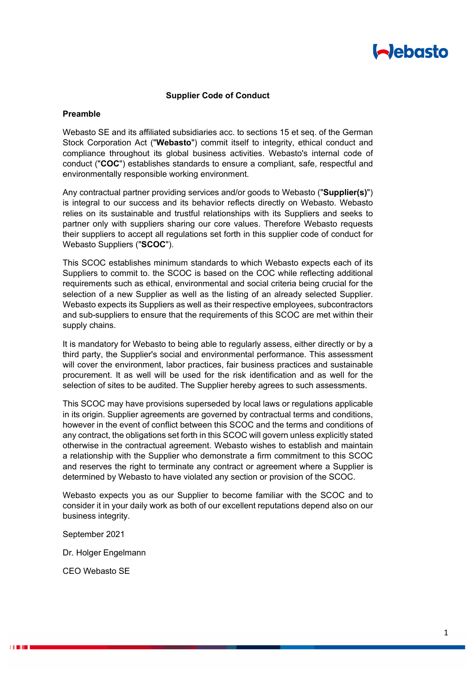

### **Supplier Code of Conduct**

#### **Preamble**

Webasto SE and its affiliated subsidiaries acc. to sections 15 et seq. of the German Stock Corporation Act ("**Webasto**") commit itself to integrity, ethical conduct and compliance throughout its global business activities. Webasto's internal code of conduct ("**COC**") establishes standards to ensure a compliant, safe, respectful and environmentally responsible working environment.

Any contractual partner providing services and/or goods to Webasto ("**Supplier(s)**") is integral to our success and its behavior reflects directly on Webasto. Webasto relies on its sustainable and trustful relationships with its Suppliers and seeks to partner only with suppliers sharing our core values. Therefore Webasto requests their suppliers to accept all regulations set forth in this supplier code of conduct for Webasto Suppliers ("**SCOC**").

This SCOC establishes minimum standards to which Webasto expects each of its Suppliers to commit to. the SCOC is based on the COC while reflecting additional requirements such as ethical, environmental and social criteria being crucial for the selection of a new Supplier as well as the listing of an already selected Supplier. Webasto expects its Suppliers as well as their respective employees, subcontractors and sub-suppliers to ensure that the requirements of this SCOC are met within their supply chains.

It is mandatory for Webasto to being able to regularly assess, either directly or by a third party, the Supplier's social and environmental performance. This assessment will cover the environment, labor practices, fair business practices and sustainable procurement. It as well will be used for the risk identification and as well for the selection of sites to be audited. The Supplier hereby agrees to such assessments.

This SCOC may have provisions superseded by local laws or regulations applicable in its origin. Supplier agreements are governed by contractual terms and conditions, however in the event of conflict between this SCOC and the terms and conditions of any contract, the obligations set forth in this SCOC will govern unless explicitly stated otherwise in the contractual agreement. Webasto wishes to establish and maintain a relationship with the Supplier who demonstrate a firm commitment to this SCOC and reserves the right to terminate any contract or agreement where a Supplier is determined by Webasto to have violated any section or provision of the SCOC.

Webasto expects you as our Supplier to become familiar with the SCOC and to consider it in your daily work as both of our excellent reputations depend also on our business integrity.

September 2021

Dr. Holger Engelmann

CEO Webasto SE

**THE REAL PROPERTY**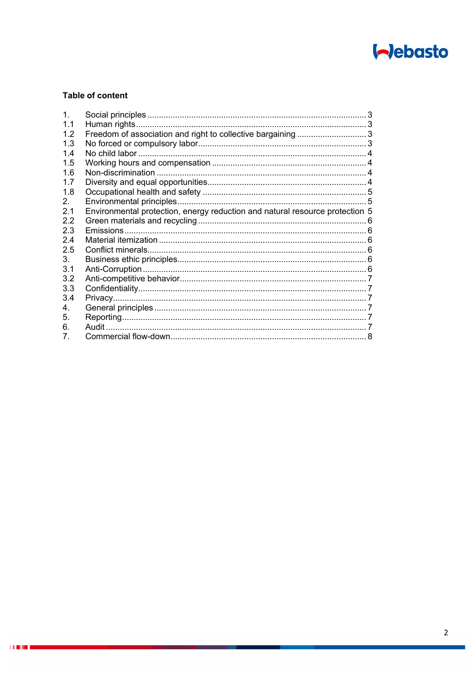

# **Table of content**

 $\pm 0.001$  m  $\pm 0.001$ 

| $\mathbf{1}$ . |                                                                              |  |
|----------------|------------------------------------------------------------------------------|--|
| 1.1            |                                                                              |  |
| 1.2            |                                                                              |  |
| 1.3            |                                                                              |  |
| 1.4            |                                                                              |  |
| 1.5            |                                                                              |  |
| 1.6            |                                                                              |  |
| 1.7            |                                                                              |  |
| 1.8            |                                                                              |  |
| $2_{-}$        |                                                                              |  |
| 2.1            | Environmental protection, energy reduction and natural resource protection 5 |  |
| 2.2            |                                                                              |  |
| 2.3            |                                                                              |  |
| 2.4            |                                                                              |  |
| 2.5            |                                                                              |  |
| 3.             |                                                                              |  |
| 3.1            |                                                                              |  |
| 3.2            |                                                                              |  |
| 3.3            |                                                                              |  |
| 3.4            |                                                                              |  |
| 4.             |                                                                              |  |
| 5.             |                                                                              |  |
| 6.             |                                                                              |  |
| 7.             |                                                                              |  |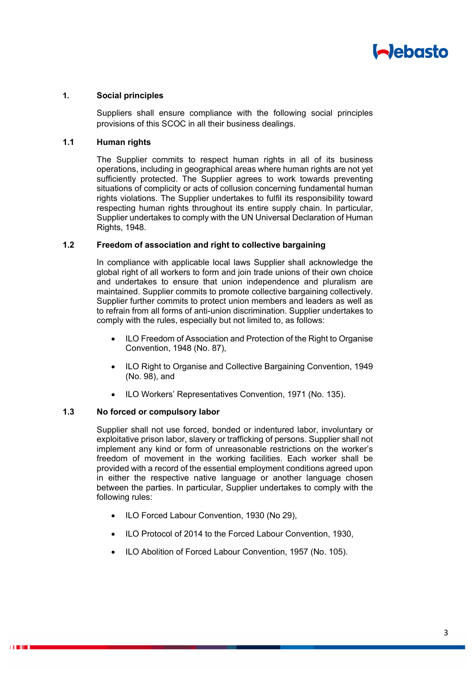

### **1. Social principles**

Suppliers shall ensure compliance with the following social principles provisions of this SCOC in all their business dealings.

## **1.1 Human rights**

The Supplier commits to respect human rights in all of its business operations, including in geographical areas where human rights are not yet sufficiently protected. The Supplier agrees to work towards preventing situations of complicity or acts of collusion concerning fundamental human rights violations. The Supplier undertakes to fulfil its responsibility toward respecting human rights throughout its entire supply chain. In particular, Supplier undertakes to comply with the UN Universal Declaration of Human Rights, 1948.

#### **1.2 Freedom of association and right to collective bargaining**

In compliance with applicable local laws Supplier shall acknowledge the global right of all workers to form and join trade unions of their own choice and undertakes to ensure that union independence and pluralism are maintained. Supplier commits to promote collective bargaining collectively. Supplier further commits to protect union members and leaders as well as to refrain from all forms of anti-union discrimination. Supplier undertakes to comply with the rules, especially but not limited to, as follows:

- ILO Freedom of Association and Protection of the Right to Organise Convention, 1948 (No. 87),
- ILO Right to Organise and Collective Bargaining Convention, 1949 (No. 98), and
- ILO Workers' Representatives Convention, 1971 (No. 135).

### **1.3 No forced or compulsory labor**

Supplier shall not use forced, bonded or indentured labor, involuntary or exploitative prison labor, slavery or trafficking of persons. Supplier shall not implement any kind or form of unreasonable restrictions on the worker's freedom of movement in the working facilities. Each worker shall be provided with a record of the essential employment conditions agreed upon in either the respective native language or another language chosen between the parties. In particular, Supplier undertakes to comply with the following rules:

- ILO Forced Labour Convention, 1930 (No 29),
- ILO Protocol of 2014 to the Forced Labour Convention, 1930,
- ILO Abolition of Forced Labour Convention, 1957 (No. 105).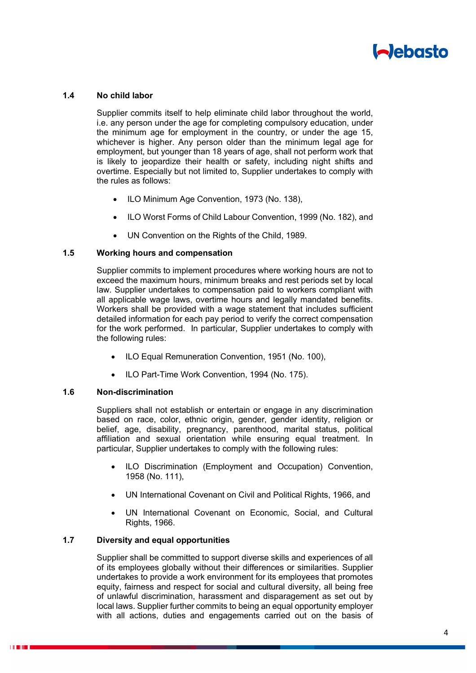

### **1.4 No child labor**

Supplier commits itself to help eliminate child labor throughout the world, i.e. any person under the age for completing compulsory education, under the minimum age for employment in the country, or under the age 15, whichever is higher. Any person older than the minimum legal age for employment, but younger than 18 years of age, shall not perform work that is likely to jeopardize their health or safety, including night shifts and overtime. Especially but not limited to, Supplier undertakes to comply with the rules as follows:

- ILO Minimum Age Convention, 1973 (No. 138),
- ILO Worst Forms of Child Labour Convention, 1999 (No. 182), and
- UN Convention on the Rights of the Child, 1989.

### **1.5 Working hours and compensation**

Supplier commits to implement procedures where working hours are not to exceed the maximum hours, minimum breaks and rest periods set by local law. Supplier undertakes to compensation paid to workers compliant with all applicable wage laws, overtime hours and legally mandated benefits. Workers shall be provided with a wage statement that includes sufficient detailed information for each pay period to verify the correct compensation for the work performed. In particular, Supplier undertakes to comply with the following rules:

- ILO Equal Remuneration Convention, 1951 (No. 100),
- ILO Part-Time Work Convention, 1994 (No. 175).

#### **1.6 Non-discrimination**

Suppliers shall not establish or entertain or engage in any discrimination based on race, color, ethnic origin, gender, gender identity, religion or belief, age, disability, pregnancy, parenthood, marital status, political affiliation and sexual orientation while ensuring equal treatment. In particular, Supplier undertakes to comply with the following rules:

- ILO Discrimination (Employment and Occupation) Convention, 1958 (No. 111),
- UN International Covenant on Civil and Political Rights, 1966, and
- UN International Covenant on Economic, Social, and Cultural Rights, 1966.

## **1.7 Diversity and equal opportunities**

Supplier shall be committed to support diverse skills and experiences of all of its employees globally without their differences or similarities. Supplier undertakes to provide a work environment for its employees that promotes equity, fairness and respect for social and cultural diversity, all being free of unlawful discrimination, harassment and disparagement as set out by local laws. Supplier further commits to being an equal opportunity employer with all actions, duties and engagements carried out on the basis of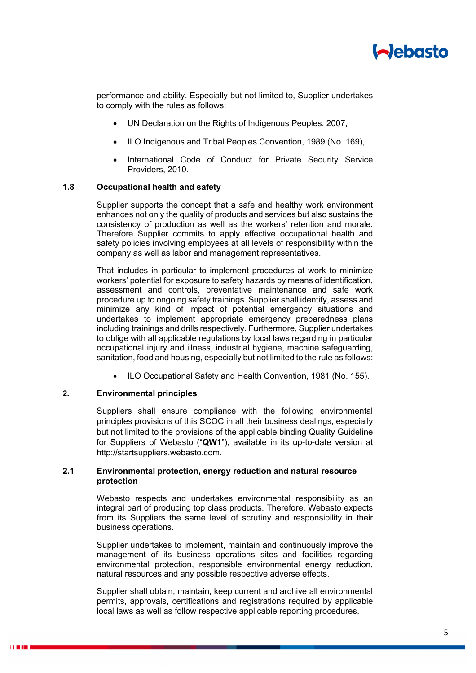

performance and ability. Especially but not limited to, Supplier undertakes to comply with the rules as follows:

- UN Declaration on the Rights of Indigenous Peoples, 2007,
- ILO Indigenous and Tribal Peoples Convention, 1989 (No. 169),
- International Code of Conduct for Private Security Service Providers, 2010.

### **1.8 Occupational health and safety**

Supplier supports the concept that a safe and healthy work environment enhances not only the quality of products and services but also sustains the consistency of production as well as the workers' retention and morale. Therefore Supplier commits to apply effective occupational health and safety policies involving employees at all levels of responsibility within the company as well as labor and management representatives.

That includes in particular to implement procedures at work to minimize workers' potential for exposure to safety hazards by means of identification, assessment and controls, preventative maintenance and safe work procedure up to ongoing safety trainings. Supplier shall identify, assess and minimize any kind of impact of potential emergency situations and undertakes to implement appropriate emergency preparedness plans including trainings and drills respectively. Furthermore, Supplier undertakes to oblige with all applicable regulations by local laws regarding in particular occupational injury and illness, industrial hygiene, machine safeguarding, sanitation, food and housing, especially but not limited to the rule as follows:

ILO Occupational Safety and Health Convention, 1981 (No. 155).

#### **2. Environmental principles**

Suppliers shall ensure compliance with the following environmental principles provisions of this SCOC in all their business dealings, especially but not limited to the provisions of the applicable binding Quality Guideline for Suppliers of Webasto ("**QW1**"), available in its up-to-date version at http://startsuppliers.webasto.com.

## **2.1 Environmental protection, energy reduction and natural resource protection**

Webasto respects and undertakes environmental responsibility as an integral part of producing top class products. Therefore, Webasto expects from its Suppliers the same level of scrutiny and responsibility in their business operations.

Supplier undertakes to implement, maintain and continuously improve the management of its business operations sites and facilities regarding environmental protection, responsible environmental energy reduction, natural resources and any possible respective adverse effects.

Supplier shall obtain, maintain, keep current and archive all environmental permits, approvals, certifications and registrations required by applicable local laws as well as follow respective applicable reporting procedures.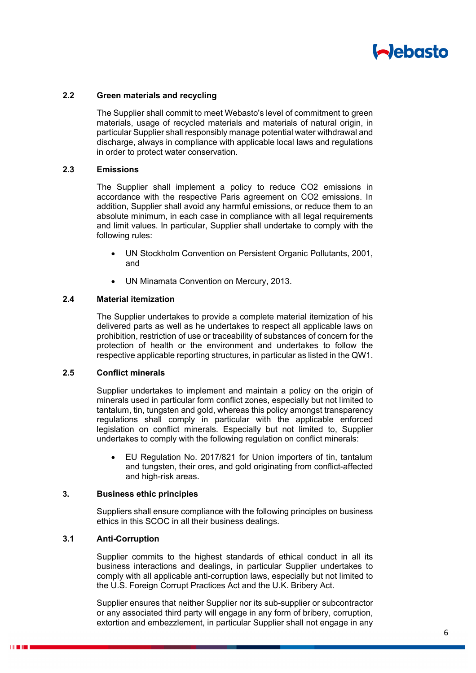

### **2.2 Green materials and recycling**

The Supplier shall commit to meet Webasto's level of commitment to green materials, usage of recycled materials and materials of natural origin, in particular Supplier shall responsibly manage potential water withdrawal and discharge, always in compliance with applicable local laws and regulations in order to protect water conservation.

## **2.3 Emissions**

The Supplier shall implement a policy to reduce CO2 emissions in accordance with the respective Paris agreement on CO2 emissions. In addition, Supplier shall avoid any harmful emissions, or reduce them to an absolute minimum, in each case in compliance with all legal requirements and limit values. In particular, Supplier shall undertake to comply with the following rules:

- UN Stockholm Convention on Persistent Organic Pollutants, 2001, and
- UN Minamata Convention on Mercury, 2013.

#### **2.4 Material itemization**

The Supplier undertakes to provide a complete material itemization of his delivered parts as well as he undertakes to respect all applicable laws on prohibition, restriction of use or traceability of substances of concern for the protection of health or the environment and undertakes to follow the respective applicable reporting structures, in particular as listed in the QW1.

### **2.5 Conflict minerals**

Supplier undertakes to implement and maintain a policy on the origin of minerals used in particular form conflict zones, especially but not limited to tantalum, tin, tungsten and gold, whereas this policy amongst transparency regulations shall comply in particular with the applicable enforced legislation on conflict minerals. Especially but not limited to, Supplier undertakes to comply with the following regulation on conflict minerals:

 EU Regulation No. 2017/821 for Union importers of tin, tantalum and tungsten, their ores, and gold originating from conflict-affected and high-risk areas.

## **3. Business ethic principles**

Suppliers shall ensure compliance with the following principles on business ethics in this SCOC in all their business dealings.

## **3.1 Anti-Corruption**

Supplier commits to the highest standards of ethical conduct in all its business interactions and dealings, in particular Supplier undertakes to comply with all applicable anti-corruption laws, especially but not limited to the U.S. Foreign Corrupt Practices Act and the U.K. Bribery Act.

Supplier ensures that neither Supplier nor its sub-supplier or subcontractor or any associated third party will engage in any form of bribery, corruption, extortion and embezzlement, in particular Supplier shall not engage in any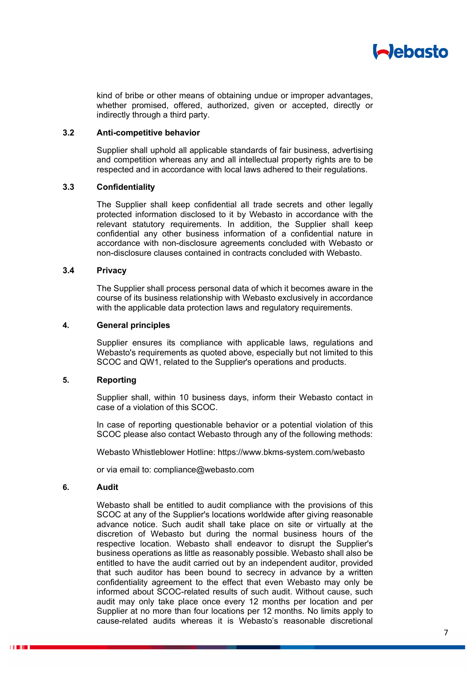

kind of bribe or other means of obtaining undue or improper advantages, whether promised, offered, authorized, given or accepted, directly or indirectly through a third party.

#### **3.2 Anti-competitive behavior**

Supplier shall uphold all applicable standards of fair business, advertising and competition whereas any and all intellectual property rights are to be respected and in accordance with local laws adhered to their regulations.

### **3.3 Confidentiality**

The Supplier shall keep confidential all trade secrets and other legally protected information disclosed to it by Webasto in accordance with the relevant statutory requirements. In addition, the Supplier shall keep confidential any other business information of a confidential nature in accordance with non-disclosure agreements concluded with Webasto or non-disclosure clauses contained in contracts concluded with Webasto.

#### **3.4 Privacy**

The Supplier shall process personal data of which it becomes aware in the course of its business relationship with Webasto exclusively in accordance with the applicable data protection laws and regulatory requirements.

#### **4. General principles**

Supplier ensures its compliance with applicable laws, regulations and Webasto's requirements as quoted above, especially but not limited to this SCOC and QW1, related to the Supplier's operations and products.

### **5. Reporting**

Supplier shall, within 10 business days, inform their Webasto contact in case of a violation of this SCOC.

In case of reporting questionable behavior or a potential violation of this SCOC please also contact Webasto through any of the following methods:

Webasto Whistleblower Hotline: https://www.bkms-system.com/webasto

or via email to: compliance@webasto.com

### **6. Audit**

Webasto shall be entitled to audit compliance with the provisions of this SCOC at any of the Supplier's locations worldwide after giving reasonable advance notice. Such audit shall take place on site or virtually at the discretion of Webasto but during the normal business hours of the respective location. Webasto shall endeavor to disrupt the Supplier's business operations as little as reasonably possible. Webasto shall also be entitled to have the audit carried out by an independent auditor, provided that such auditor has been bound to secrecy in advance by a written confidentiality agreement to the effect that even Webasto may only be informed about SCOC-related results of such audit. Without cause, such audit may only take place once every 12 months per location and per Supplier at no more than four locations per 12 months. No limits apply to cause-related audits whereas it is Webasto's reasonable discretional